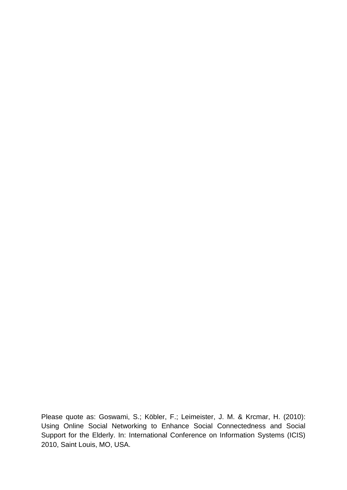Please quote as: Goswami, S.; Köbler, F.; Leimeister, J. M. & Krcmar, H. (2010): Using Online Social Networking to Enhance Social Connectedness and Social Support for the Elderly. In: International Conference on Information Systems (ICIS) 2010, Saint Louis, MO, USA.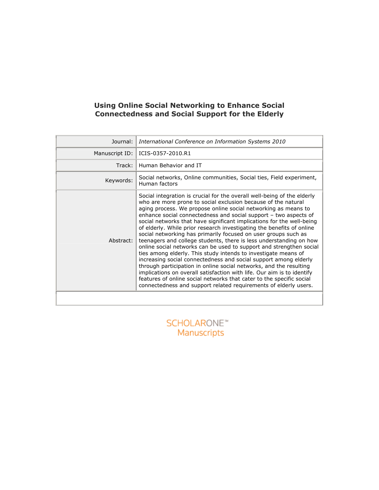## Using Online Social Networking to Enhance Social Connectedness and Social Support for the Elderly

| Journal:       | International Conference on Information Systems 2010                                                                                                                                                                                                                                                                                                                                                                                                                                                                                                                                                                                                                                                                                                                                                                                                                                                                                                                                                                                                                              |  |
|----------------|-----------------------------------------------------------------------------------------------------------------------------------------------------------------------------------------------------------------------------------------------------------------------------------------------------------------------------------------------------------------------------------------------------------------------------------------------------------------------------------------------------------------------------------------------------------------------------------------------------------------------------------------------------------------------------------------------------------------------------------------------------------------------------------------------------------------------------------------------------------------------------------------------------------------------------------------------------------------------------------------------------------------------------------------------------------------------------------|--|
| Manuscript ID: | ICIS-0357-2010.R1                                                                                                                                                                                                                                                                                                                                                                                                                                                                                                                                                                                                                                                                                                                                                                                                                                                                                                                                                                                                                                                                 |  |
| Track:         | Human Behavior and IT                                                                                                                                                                                                                                                                                                                                                                                                                                                                                                                                                                                                                                                                                                                                                                                                                                                                                                                                                                                                                                                             |  |
| Keywords:      | Social networks, Online communities, Social ties, Field experiment,<br>Human factors                                                                                                                                                                                                                                                                                                                                                                                                                                                                                                                                                                                                                                                                                                                                                                                                                                                                                                                                                                                              |  |
| Abstract:      | Social integration is crucial for the overall well-being of the elderly<br>who are more prone to social exclusion because of the natural<br>aging process. We propose online social networking as means to<br>enhance social connectedness and social support - two aspects of<br>social networks that have significant implications for the well-being<br>of elderly. While prior research investigating the benefits of online<br>social networking has primarily focused on user groups such as<br>teenagers and college students, there is less understanding on how<br>online social networks can be used to support and strengthen social<br>ties among elderly. This study intends to investigate means of<br>increasing social connectedness and social support among elderly<br>through participation in online social networks, and the resulting<br>implications on overall satisfaction with life. Our aim is to identify<br>features of online social networks that cater to the specific social<br>connectedness and support related requirements of elderly users. |  |
|                |                                                                                                                                                                                                                                                                                                                                                                                                                                                                                                                                                                                                                                                                                                                                                                                                                                                                                                                                                                                                                                                                                   |  |

**SCHOLARONE™** Manuscripts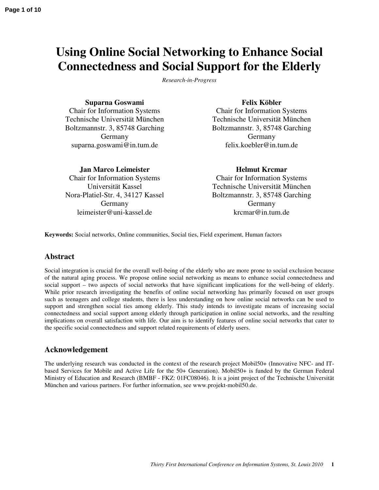# **Using Online Social Networking to Enhance Social Connectedness and Social Support for the Elderly**

*Research-in-Progress* 

**Suparna Goswami**  Chair for Information Systems Technische Universität München Boltzmannstr. 3, 85748 Garching Germany suparna.goswami@in.tum.de

**Jan Marco Leimeister**  Chair for Information Systems Universität Kassel Nora-Platiel-Str. 4, 34127 Kassel Germany leimeister@uni-kassel.de

#### **Felix Köbler**

Chair for Information Systems Technische Universität München Boltzmannstr. 3, 85748 Garching Germany felix.koebler@in.tum.de

**Helmut Krcmar**  Chair for Information Systems Technische Universität München Boltzmannstr. 3, 85748 Garching

Germany krcmar@in.tum.de

**Keywords:** Social networks, Online communities, Social ties, Field experiment, Human factors

### **Abstract**

Social integration is crucial for the overall well-being of the elderly who are more prone to social exclusion because of the natural aging process. We propose online social networking as means to enhance social connectedness and social support – two aspects of social networks that have significant implications for the well-being of elderly. While prior research investigating the benefits of online social networking has primarily focused on user groups such as teenagers and college students, there is less understanding on how online social networks can be used to support and strengthen social ties among elderly. This study intends to investigate means of increasing social connectedness and social support among elderly through participation in online social networks, and the resulting implications on overall satisfaction with life. Our aim is to identify features of online social networks that cater to the specific social connectedness and support related requirements of elderly users.

### **Acknowledgement**

The underlying research was conducted in the context of the research project Mobil50+ (Innovative NFC- and ITbased Services for Mobile and Active Life for the 50+ Generation). Mobil50+ is funded by the German Federal Ministry of Education and Research (BMBF - FKZ: 01FC08046). It is a joint project of the Technische Universität München and various partners. For further information, see www.projekt-mobil50.de.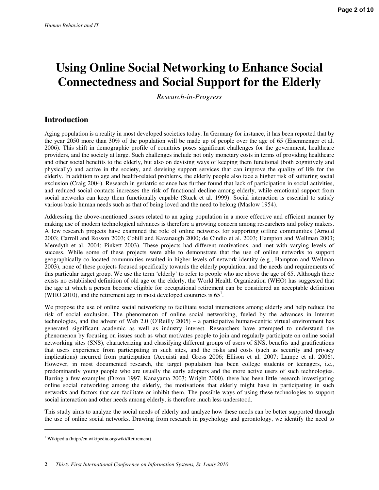# **Using Online Social Networking to Enhance Social Connectedness and Social Support for the Elderly**

*Research-in-Progress* 

## **Introduction**

Aging population is a reality in most developed societies today. In Germany for instance, it has been reported that by the year 2050 more than 30% of the population will be made up of people over the age of 65 (Eisenmenger et al. 2006). This shift in demographic profile of countries poses significant challenges for the government, healthcare providers, and the society at large. Such challenges include not only monetary costs in terms of providing healthcare and other social benefits to the elderly, but also on devising ways of keeping them functional (both cognitively and physically) and active in the society, and devising support services that can improve the quality of life for the elderly. In addition to age and health-related problems, the elderly people also face a higher risk of suffering social exclusion (Craig 2004). Research in geriatric science has further found that lack of participation in social activities, and reduced social contacts increases the risk of functional decline among elderly, while emotional support from social networks can keep them functionally capable (Stuck et al. 1999). Social interaction is essential to satisfy various basic human needs such as that of being loved and the need to belong (Maslow 1954).

Addressing the above-mentioned issues related to an aging population in a more effective and efficient manner by making use of modern technological advances is therefore a growing concern among researchers and policy makers. A few research projects have examined the role of online networks for supporting offline communities (Arnold 2003; Carroll and Rosson 2003; Cohill and Kavanaugh 2000; de Cindio et al. 2003; Hampton and Wellman 2003; Meredyth et al. 2004; Pinkett 2003). These projects had different motivations, and met with varying levels of success. While some of these projects were able to demonstrate that the use of online networks to support geographically co-located communities resulted in higher levels of network identity (e.g., Hampton and Wellman 2003), none of these projects focused specifically towards the elderly population, and the needs and requirements of this particular target group. We use the term 'elderly' to refer to people who are above the age of 65. Although there exists no established definition of old age or the elderly, the World Health Organization (WHO) has suggested that the age at which a person become eligible for occupational retirement can be considered an acceptable definition (WHO 2010), and the retirement age in most developed countries is  $65^1$ .

We propose the use of online social networking to facilitate social interactions among elderly and help reduce the risk of social exclusion. The phenomenon of online social networking, fueled by the advances in Internet technologies, and the advent of Web 2.0 (O'Reilly 2005) – a participative human-centric virtual environment has generated significant academic as well as industry interest. Researchers have attempted to understand the phenomenon by focusing on issues such as what motivates people to join and regularly participate on online social networking sites (SNS), characterizing and classifying different groups of users of SNS, benefits and gratifications that users experience from participating in such sites, and the risks and costs (such as security and privacy implications) incurred from participation (Acquisti and Gross 2006; Ellison et al. 2007; Lampe et al. 2006). However, in most documented research, the target population has been college students or teenagers, i.e., predominantly young people who are usually the early adopters and the more active users of such technologies. Barring a few examples (Dixon 1997; Kanayama 2003; Wright 2000), there has been little research investigating online social networking among the elderly, the motivations that elderly might have in participating in such networks and factors that can facilitate or inhibit them. The possible ways of using these technologies to support social interaction and other needs among elderly, is therefore much less understood.

This study aims to analyze the social needs of elderly and analyze how these needs can be better supported through the use of online social networks. Drawing from research in psychology and gerontology, we identify the need to

 $\overline{a}$ 

<sup>&</sup>lt;sup>1</sup> Wikipedia (http://en.wikipedia.org/wiki/Retirement)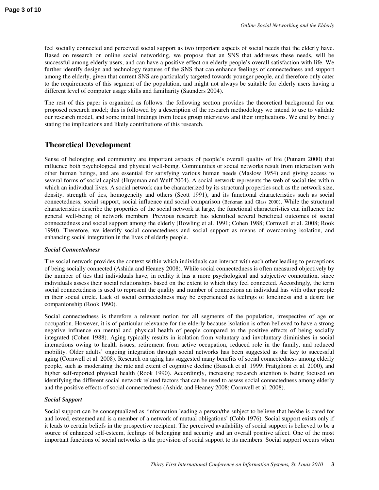feel socially connected and perceived social support as two important aspects of social needs that the elderly have. Based on research on online social networking, we propose that an SNS that addresses these needs, will be successful among elderly users, and can have a positive effect on elderly people's overall satisfaction with life. We further identify design and technology features of the SNS that can enhance feelings of connectedness and support among the elderly, given that current SNS are particularly targeted towards younger people, and therefore only cater to the requirements of this segment of the population, and might not always be suitable for elderly users having a different level of computer usage skills and familiarity (Saunders 2004).

The rest of this paper is organized as follows: the following section provides the theoretical background for our proposed research model; this is followed by a description of the research methodology we intend to use to validate our research model, and some initial findings from focus group interviews and their implications. We end by briefly stating the implications and likely contributions of this research.

## **Theoretical Development**

Sense of belonging and community are important aspects of people's overall quality of life (Putnam 2000) that influence both psychological and physical well-being. Communities or social networks result from interaction with other human beings, and are essential for satisfying various human needs (Maslow 1954) and giving access to several forms of social capital (Huysman and Wulf 2004). A social network represents the web of social ties within which an individual lives. A social network can be characterized by its structural properties such as the network size, density, strength of ties, homogeneity and others (Scott 1991), and its functional characteristics such as social connectedness, social support, social influence and social comparison (Berkman and Glass 2000). While the structural characteristics describe the properties of the social network at large, the functional characteristics can influence the general well-being of network members. Previous research has identified several beneficial outcomes of social connectedness and social support among the elderly (Bowling et al. 1991; Cohen 1988; Cornwell et al. 2008; Rook 1990). Therefore, we identify social connectedness and social support as means of overcoming isolation, and enhancing social integration in the lives of elderly people.

#### *Social Connectedness*

The social network provides the context within which individuals can interact with each other leading to perceptions of being socially connected (Ashida and Heaney 2008). While social connectedness is often measured objectively by the number of ties that individuals have, in reality it has a more psychological and subjective connotation, since individuals assess their social relationships based on the extent to which they feel connected. Accordingly, the term social connectedness is used to represent the quality and number of connections an individual has with other people in their social circle. Lack of social connectedness may be experienced as feelings of loneliness and a desire for companionship (Rook 1990).

Social connectedness is therefore a relevant notion for all segments of the population, irrespective of age or occupation. However, it is of particular relevance for the elderly because isolation is often believed to have a strong negative influence on mental and physical health of people compared to the positive effects of being socially integrated (Cohen 1988). Aging typically results in isolation from voluntary and involuntary diminishes in social interactions owing to health issues, retirement from active occupation, reduced role in the family, and reduced mobility. Older adults' ongoing integration through social networks has been suggested as the key to successful aging (Cornwell et al. 2008). Research on aging has suggested many benefits of social connectedness among elderly people, such as moderating the rate and extent of cognitive decline (Bassuk et al. 1999; Fratiglioni et al. 2000), and higher self-reported physical health (Rook 1990). Accordingly, increasing research attention is being focused on identifying the different social network related factors that can be used to assess social connectedness among elderly and the positive effects of social connectedness (Ashida and Heaney 2008; Cornwell et al. 2008).

#### *Social Support*

Social support can be conceptualized as 'information leading a person/the subject to believe that he/she is cared for and loved, esteemed and is a member of a network of mutual obligations' (Cobb 1976). Social support exists only if it leads to certain beliefs in the prospective recipient. The perceived availability of social support is believed to be a source of enhanced self-esteem, feelings of belonging and security and an overall positive affect. One of the most important functions of social networks is the provision of social support to its members. Social support occurs when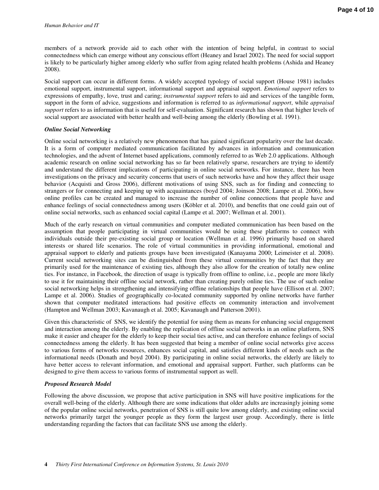members of a network provide aid to each other with the intention of being helpful, in contrast to social connectedness which can emerge without any conscious effort (Heaney and Israel 2002). The need for social support is likely to be particularly higher among elderly who suffer from aging related health problems (Ashida and Heaney 2008).

Social support can occur in different forms. A widely accepted typology of social support (House 1981) includes emotional support, instrumental support, informational support and appraisal support. *Emotional support* refers to expressions of empathy, love, trust and caring; *instrumental support* refers to aid and services of the tangible form, support in the form of advice, suggestions and information is referred to as *informational support*, while *appraisal support* refers to as information that is useful for self-evaluation. Significant research has shown that higher levels of social support are associated with better health and well-being among the elderly (Bowling et al. 1991).

#### *Online Social Networking*

Online social networking is a relatively new phenomenon that has gained significant popularity over the last decade. It is a form of computer mediated communication facilitated by advances in information and communication technologies, and the advent of Internet based applications, commonly referred to as Web 2.0 applications. Although academic research on online social networking has so far been relatively sparse, researchers are trying to identify and understand the different implications of participating in online social networks. For instance, there has been investigations on the privacy and security concerns that users of such networks have and how they affect their usage behavior (Acquisti and Gross 2006), different motivations of using SNS, such as for finding and connecting to strangers or for connecting and keeping up with acquaintances (boyd 2004; Joinson 2008; Lampe et al. 2006), how online profiles can be created and managed to increase the number of online connections that people have and enhance feelings of social connectedness among users (Köbler et al. 2010), and benefits that one could gain out of online social networks, such as enhanced social capital (Lampe et al. 2007; Wellman et al. 2001).

Much of the early research on virtual communities and computer mediated communication has been based on the assumption that people participating in virtual communities would be using these platforms to connect with individuals outside their pre-existing social group or location (Wellman et al. 1996) primarily based on shared interests or shared life scenarios. The role of virtual communities in providing informational, emotional and appraisal support to elderly and patients groups have been investigated (Kanayama 2000; Leimeister et al. 2008). Current social networking sites can be distinguished from these virtual communities by the fact that they are primarily used for the maintenance of existing ties, although they also allow for the creation of totally new online ties. For instance, in Facebook, the direction of usage is typically from offline to online, i.e., people are more likely to use it for maintaining their offline social network, rather than creating purely online ties. The use of such online social networking helps in strengthening and intensifying offline relationships that people have (Ellison et al. 2007; Lampe et al. 2006). Studies of geographically co-located community supported by online networks have further shown that computer meditated interactions had positive effects on community interaction and involvement (Hampton and Wellman 2003; Kavanaugh et al. 2005; Kavanaugh and Patterson 2001).

Given this characteristic of SNS, we identify the potential for using them as means for enhancing social engagement and interaction among the elderly. By enabling the replication of offline social networks in an online platform, SNS make it easier and cheaper for the elderly to keep their social ties active, and can therefore enhance feelings of social connectedness among the elderly. It has been suggested that being a member of online social networks give access to various forms of networks resources, enhances social capital, and satisfies different kinds of needs such as the informational needs (Donath and boyd 2004). By participating in online social networks, the elderly are likely to have better access to relevant information, and emotional and appraisal support. Further, such platforms can be designed to give them access to various forms of instrumental support as well.

#### *Proposed Research Model*

Following the above discussion, we propose that active participation in SNS will have positive implications for the overall well-being of the elderly. Although there are some indications that older adults are increasingly joining some of the popular online social networks, penetration of SNS is still quite low among elderly, and existing online social networks primarily target the younger people as they form the largest user group. Accordingly, there is little understanding regarding the factors that can facilitate SNS use among the elderly.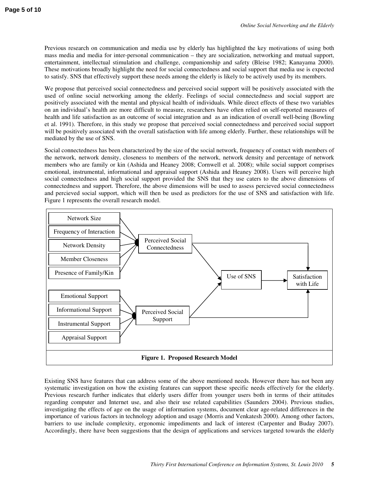Previous research on communication and media use by elderly has highlighted the key motivations of using both mass media and media for inter-personal communication – they are socialization, networking and mutual support, entertainment, intellectual stimulation and challenge, companionship and safety (Bleise 1982; Kanayama 2000). These motivations broadly highlight the need for social connectedness and social support that media use is expected to satisfy. SNS that effectively support these needs among the elderly is likely to be actively used by its members.

We propose that perceived social connectedness and perceived social support will be positively associated with the used of online social networking among the elderly. Feelings of social connectedness and social support are positively associated with the mental and physical health of individuals. While direct effects of these two variables on an individual's health are more difficult to measure, researchers have often relied on self-reported measures of health and life satisfaction as an outcome of social integration and as an indication of overall well-being (Bowling et al. 1991). Therefore, in this study we propose that perceived social connectedness and perceived social support will be positively associated with the overall satisfaction with life among elderly. Further, these relationships will be mediated by the use of SNS.

Social connectedness has been characterized by the size of the social network, frequency of contact with members of the network, network density, closeness to members of the network, network density and percentage of network members who are family or kin (Ashida and Heaney 2008; Cornwell et al. 2008); while social support comprises emotional, instrumental, informational and appraisal support (Ashida and Heaney 2008). Users will perceive high social connectedness and high social support provided the SNS that they use caters to the above dimensions of connectedness and support. Therefore, the above dimensions will be used to assess percieved social connectedness and percieved social support, which will then be used as predictors for the use of SNS and satisfaction with life. Figure 1 represents the overall research model.



Existing SNS have features that can address some of the above mentioned needs. However there has not been any systematic investigation on how the existing features can support these specific needs effectively for the elderly. Previous research further indicates that elderly users differ from younger users both in terms of their attitudes regarding computer and Internet use, and also their use related capabilities (Saunders 2004). Previous studies, investigating the effects of age on the usage of information systems, document clear age-related differences in the importance of various factors in technology adoption and usage (Morris and Venkatesh 2000). Among other factors, barriers to use include complexity, ergonomic impediments and lack of interest (Carpenter and Buday 2007). Accordingly, there have been suggestions that the design of applications and services targeted towards the elderly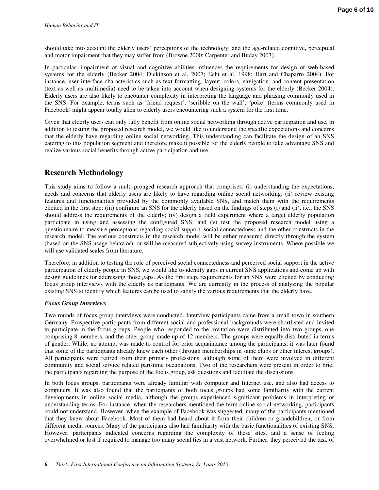should take into account the elderly users' perceptions of the technology, and the age-related cognitive, perceptual and motor impairment that they may suffer from (Browne 2000; Carpenter and Buday 2007).

In particular, impairment of visual and cognitive abilities influences the requirements for design of web-based systems for the elderly (Becker 2004; Dickinson et al. 2007; Echt et al. 1998; Hart and Chaparro 2004). For instance, user interface characteristics such as text formatting, layout, colors, navigation, and content presentation (text as well as multimedia) need to be taken into account when designing systems for the elderly (Becker 2004). Elderly users are also likely to encounter complexity in interpreting the language and phrasing commonly used in the SNS. For example, terms such as 'friend request', 'scribble on the wall', 'poke' (terms commonly used in Facebook) might appear totally alien to elderly users encountering such a system for the first time.

Given that elderly users can only fully benefit from online social networking through active participation and use, in addition to testing the proposed research model, we would like to understand the specific expectations and concerns that the elderly have regarding online social networking. This understanding can facilitate the design of an SNS catering to this population segment and therefore make it possible for the elderly people to take advantage SNS and realize various social benefits through active participation and use.

## **Research Methodology**

This study aims to follow a multi-pronged research approach that comprises: (i) understanding the expectations, needs and concerns that elderly users are likely to have regarding online social networking; (ii) review existing features and functionalities provided by the commonly available SNS, and match them with the requirements elicited in the first step; (iii) configure an SNS for the elderly based on the findings of steps (i) and (ii), i.e., the SNS should address the requirements of the elderly; (iv) design a field experiment where a target elderly population participate in using and assessing the configured SNS; and (v) test the proposed research model using a questionnaire to measure perceptions regarding social support, social connectedness and the other constructs in the research model. The various constructs in the research model will be either measured directly through the system (based on the SNS usage behavior), or will be measured subjectively using survey instruments. Where possible we will use validated scales from literature.

Therefore, in addition to testing the role of perceived social connectedness and perceived social support in the active participation of elderly people in SNS, we would like to identify gaps in current SNS applications and come up with design guidelines for addressing those gaps. As the first step, requirements for an SNS were elicited by conducting focus group interviews with the elderly as participants. We are currently in the process of analyzing the popular existing SNS to identify which features can be used to satisfy the various requirements that the elderly have.

#### *Focus Group Interviews*

Two rounds of focus group interviews were conducted. Interview participants came from a small town in southern Germany. Prospective participants from different social and professional backgrounds were shortlisted and invited to participate in the focus groups. People who responded to the invitation were distributed into two groups, one comprising 8 members, and the other group made up of 12 members. The groups were equally distributed in terms of gender. While, no attempt was made to control for prior acquaintance among the participants, it was later found that some of the participants already knew each other (through memberships in same clubs or other interest groups). All participants were retired from their primary professions, although some of them were involved in different community and social service related part-time occupations. Two of the researchers were present in order to brief the participants regarding the purpose of the focus group, ask questions and facilitate the discussions.

In both focus groups, participants were already familiar with computer and Internet use, and also had access to computers. It was also found that the participants of both focus groups had some familiarity with the current developments in online social media, although the groups experienced significant problems in interpreting or understanding terms. For instance, when the researchers mentioned the term online social networking, participants could not understand. However, when the example of Facebook was suggested, many of the participants mentioned that they knew about Facebook. Most of them had heard about it from their children or grandchildren, or from different media sources. Many of the participants also had familiarity with the basic functionalities of existing SNS. However, participants indicated concerns regarding the complexity of these sites, and a sense of feeling overwhelmed or lost if required to manage too many social ties in a vast network. Further, they perceived the task of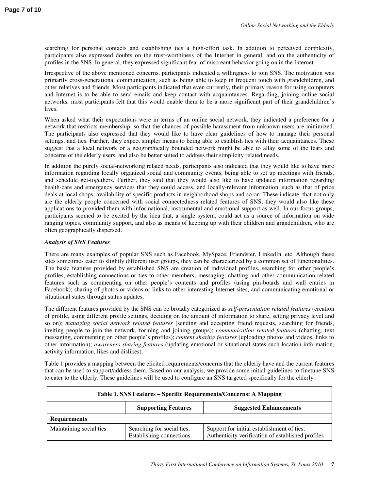searching for personal contacts and establishing ties a high-effort task. In addition to perceived complexity, participants also expressed doubts on the trust-worthiness of the Internet in general, and on the authenticity of profiles in the SNS. In general, they expressed significant fear of miscreant behavior going on in the Internet.

Irrespective of the above mentioned concerns, participants indicated a willingness to join SNS. The motivation was primarily cross-generational communication, such as being able to keep in frequent touch with grandchildren, and other relatives and friends. Most participants indicated that even currently, their primary reason for using computers and Internet is to be able to send emails and keep contact with acquaintances. Regarding, joining online social networks, most participants felt that this would enable them to be a more significant part of their grandchildren's lives.

When asked what their expectations were in terms of an online social network, they indicated a preference for a network that restricts membership, so that the chances of possible harassment from unknown users are minimized. The participants also expressed that they would like to have clear guidelines of how to manage their personal settings, and ties. Further, they expect simpler means to being able to establish ties with their acquaintances. These suggest that a local network or a geographically bounded network might be able to allay some of the fears and concerns of the elderly users, and also be better suited to address their simplicity related needs.

In addition the purely social-networking related needs, participants also indicated that they would like to have more information regarding locally organized social and community events, being able to set up meetings with friends, and schedule get-togethers. Further, they said that they would also like to have updated information regarding health-care and emergency services that they could access, and locally-relevant information, such as that of price deals at local shops, availability of specific products in neighborhood shops and so on. These indicate, that not only are the elderly people concerned with social connectedness related features of SNS, they would also like these applications to provided them with informational, instrumental and emotional support as well. In our focus groups, participants seemed to be excited by the idea that, a single system, could act as a source of information on wide ranging topics, community support, and also as means of keeping up with their children and grandchildren, who are often geographically dispersed.

#### *Analysis of SNS Features*

There are many examples of popular SNS such as Facebook, MySpace, Friendster, LinkedIn, etc. Although these sites sometimes cater to slightly different user groups, they can be characterized by a common set of functionalities. The basic features provided by established SNS are creation of individual profiles, searching for other people's profiles, establishing connections or ties to other members; messaging, chatting and other communication-related features such as commenting on other people's contents and profiles (using pin-boards and wall entries in Facebook); sharing of photos or videos or links to other interesting Internet sites, and communicating emotional or situational states through status updates.

The different features provided by the SNS can be broadly categorized as *self-presentation related features* (creation of profile, using different profile settings, deciding on the amount of information to share, setting privacy level and so on); *managing social network related features* (sending and accepting friend requests, searching for friends, inviting people to join the network, forming and joining groups); *communication related features* (chatting, text messaging, commenting on other people's profiles); *content sharing features* (uploading photos and videos, links to other information); *awareness sharing features* (updating emotional or situational states such location information, activity information, likes and dislikes).

Table 1 provides a mapping between the elicited requirements/concerns that the elderly have and the current features that can be used to support/address them. Based on our analysis, we provide some initial guidelines to finetune SNS to cater to the elderly. These guidelines will be used to configure an SNS targeted specifically for the elderly.

| Table 1. SNS Features - Specific Requirements/Concerns: A Mapping |                                                        |                                                                                                 |  |
|-------------------------------------------------------------------|--------------------------------------------------------|-------------------------------------------------------------------------------------------------|--|
|                                                                   | <b>Supporting Features</b>                             | <b>Suggested Enhancements</b>                                                                   |  |
| <b>Requirements</b>                                               |                                                        |                                                                                                 |  |
| Maintaining social ties                                           | Searching for social ties,<br>Establishing connections | Support for initial establishment of ties,<br>Authenticity verification of established profiles |  |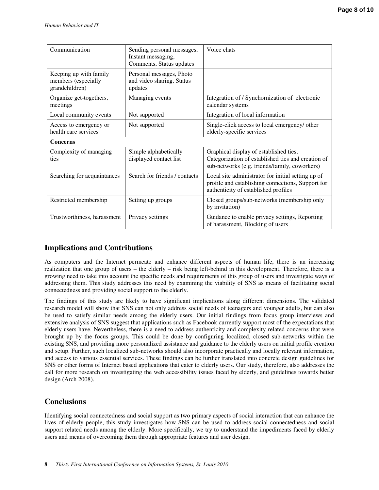| Communication                                                   | Sending personal messages,<br>Instant messaging,<br>Comments, Status updates | Voice chats                                                                                                                                     |  |  |
|-----------------------------------------------------------------|------------------------------------------------------------------------------|-------------------------------------------------------------------------------------------------------------------------------------------------|--|--|
| Keeping up with family<br>members (especially<br>grandchildren) | Personal messages, Photo<br>and video sharing, Status<br>updates             |                                                                                                                                                 |  |  |
| Organize get-togethers,<br>meetings                             | Managing events                                                              | Integration of / Synchornization of electronic<br>calendar systems                                                                              |  |  |
| Local community events                                          | Not supported                                                                | Integration of local information                                                                                                                |  |  |
| Access to emergency or<br>health care services                  | Not supported                                                                | Single-click access to local emergency/ other<br>elderly-specific services                                                                      |  |  |
| <b>Concerns</b>                                                 |                                                                              |                                                                                                                                                 |  |  |
| Complexity of managing<br>ties                                  | Simple alphabetically<br>displayed contact list                              | Graphical display of established ties,<br>Categorization of established ties and creation of<br>sub-networks (e.g. friends/family, coworkers)   |  |  |
| Searching for acquaintances                                     | Search for friends / contacts                                                | Local site administrator for initial setting up of<br>profile and establishing connections, Support for<br>authenticity of established profiles |  |  |
| Restricted membership                                           | Setting up groups                                                            | Closed groups/sub-networks (membership only<br>by invitation)                                                                                   |  |  |
| Trustworthiness, harassment                                     | Privacy settings                                                             | Guidance to enable privacy settings, Reporting                                                                                                  |  |  |

# **Implications and Contributions**

As computers and the Internet permeate and enhance different aspects of human life, there is an increasing realization that one group of users – the elderly – risk being left-behind in this development. Therefore, there is a growing need to take into account the specific needs and requirements of this group of users and investigate ways of addressing them. This study addresses this need by examining the viability of SNS as means of facilitating social connectedness and providing social support to the elderly.

of harassment, Blocking of users

The findings of this study are likely to have significant implications along different dimensions. The validated research model will show that SNS can not only address social needs of teenagers and younger adults, but can also be used to satisfy similar needs among the elderly users. Our initial findings from focus group interviews and extensive analysis of SNS suggest that applications such as Facebook currently support most of the expectations that elderly users have. Nevertheless, there is a need to address authenticity and complexity related concerns that were brought up by the focus groups. This could be done by configuring localized, closed sub-networks within the existing SNS, and providing more personalized assistance and guidance to the elderly users on initial profile creation and setup. Further, such localized sub-networks should also incorporate practically and locally relevant information, and access to various essential services. These findings can be further translated into concrete design guidelines for SNS or other forms of Internet based applications that cater to elderly users. Our study, therefore, also addresses the call for more research on investigating the web accessibility issues faced by elderly, and guidelines towards better design (Arch 2008).

## **Conclusions**

Identifying social connectedness and social support as two primary aspects of social interaction that can enhance the lives of elderly people, this study investigates how SNS can be used to address social connectedness and social support related needs among the elderly. More specifically, we try to understand the impediments faced by elderly users and means of overcoming them through appropriate features and user design.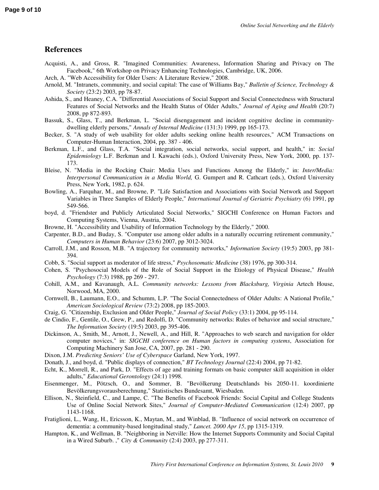#### **References**

- Acquisti, A., and Gross, R. "Imagined Communities: Awareness, Information Sharing and Privacy on The Facebook," 6th Workshop on Privacy Enhancing Technologies, Cambridge, UK, 2006.
- Arch, A. "Web Accessibility for Older Users: A Literature Review," 2008.
- Arnold, M. "Intranets, community, and social capital: The case of Williams Bay," *Bulletin of Science, Technology & Society* (23:2) 2003, pp 78-87.
- Ashida, S., and Heaney, C.A. "Differential Associations of Social Support and Social Connectedness with Structural Features of Social Networks and the Health Status of Older Adults," *Journal of Aging and Health* (20:7) 2008, pp 872-893.
- Bassuk, S., Glass, T., and Berkman, L. "Social disengagement and incident cognitive decline in communitydwelling elderly persons," *Annals of Internal Medicine* (131:3) 1999, pp 165-173.
- Becker, S. "A study of web usability for older adults seeking online health resources," ACM Transactions on Computer-Human Interaction, 2004, pp. 387 - 406.
- Berkman, L.F., and Glass, T.A. "Social integration, social networks, social support, and health," in: *Social Epidemiology* L.F. Berkman and I. Kawachi (eds.), Oxford University Press, New York, 2000, pp. 137- 173.
- Bleise, N. "Media in the Rocking Chair: Media Uses and Functions Among the Elderly," in: *Inter/Media: Interpersonal Communication in a Media World,* G. Gumpert and R. Cathcart (eds.), Oxford University Press, New York, 1982, p. 624.
- Bowling, A., Farquhar, M., and Browne, P. "Life Satisfaction and Associations with Social Network and Support Variables in Three Samples of Elderly People," *International Journal of Geriatric Psychiatry* (6) 1991, pp 549-566.
- boyd, d. "Friendster and Publicly Articulated Social Networks," SIGCHI Conference on Human Factors and Computing Systems, Vienna, Austria, 2004.
- Browne, H. "Accessibility and Usability of Information Technology by the Elderly," 2000.
- Carpenter, B.D., and Buday, S. "Computer use among older adults in a naturally occurring retirement community," *Computers in Human Behavior* (23:6) 2007, pp 3012-3024.
- Carroll, J.M., and Rosson, M.B. "A trajectory for community networks," *Information Society* (19:5) 2003, pp 381- 394.
- Cobb, S. "Social support as moderator of life stress," *Psychosomatic Medicine* (38) 1976, pp 300-314.
- Cohen, S. "Psychosocial Models of the Role of Social Support in the Etiology of Physical Disease," *Health Psychology* (7:3) 1988, pp 269 - 297.
- Cohill, A.M., and Kavanaugh, A.L. *Community networks: Lessons from Blacksburg, Virginia* Artech House, Norwood, MA, 2000.
- Cornwell, B., Laumann, E.O., and Schumm, L.P. "The Social Connectedness of Older Adults: A National Profile," *American Sociological Review* (73:2) 2008, pp 185-2003.
- Craig, G. "Citizenship, Exclusion and Older People," *Journal of Social Policy* (33:1) 2004, pp 95-114.
- de Cindio, F., Gentile, O., Grew, P., and Redolfi, D. "Community networks: Rules of behavior and social structure," *The Information Society* (19:5) 2003, pp 395-406.
- Dickinson, A., Smith, M., Arnott, J., Newell, A., and Hill, R. "Approaches to web search and navigation for older computer novices," in: *SIGCHI conference on Human factors in computing systems*, Association for Computing Machinery San Jose, CA, 2007, pp. 281 - 290.
- Dixon, J.M. *Predicting Seniors' Use of Cyberspace* Garland, New York, 1997.
- Donath, J., and boyd, d. "Public displays of connection," *BT Technology Journal* (22:4) 2004, pp 71-82.
- Echt, K., Morrell, R., and Park, D. "Effects of age and training formats on basic computer skill acquisition in older adults," *Educational Gerontology* (24:1) 1998.
- Eisenmenger, M., Pötzsch, O., and Sommer, B. "Bevölkerung Deutschlands bis 2050-11. koordinierte Bevölkerungsvorausberechnung," Statistisches Bundesamt, Wiesbaden.
- Ellison, N., Steinfield, C., and Lampe, C. "The Benefits of Facebook Friends: Social Capital and College Students Use of Online Social Network Sites," *Journal of Computer-Mediated Communication* (12:4) 2007, pp 1143-1168.
- Fratiglioni, L., Wang, H., Ericsson, K., Maytan, M., and Winblad, B. "Influence of social network on occurrence of dementia: a community-based longitudinal study," *Lancet. 2000 Apr 15*, pp 1315-1319.
- Hampton, K., and Wellman, B. "Neighboring in Netville: How the Internet Supports Community and Social Capital in a Wired Suburb. ," *City & Community* (2:4) 2003, pp 277-311.